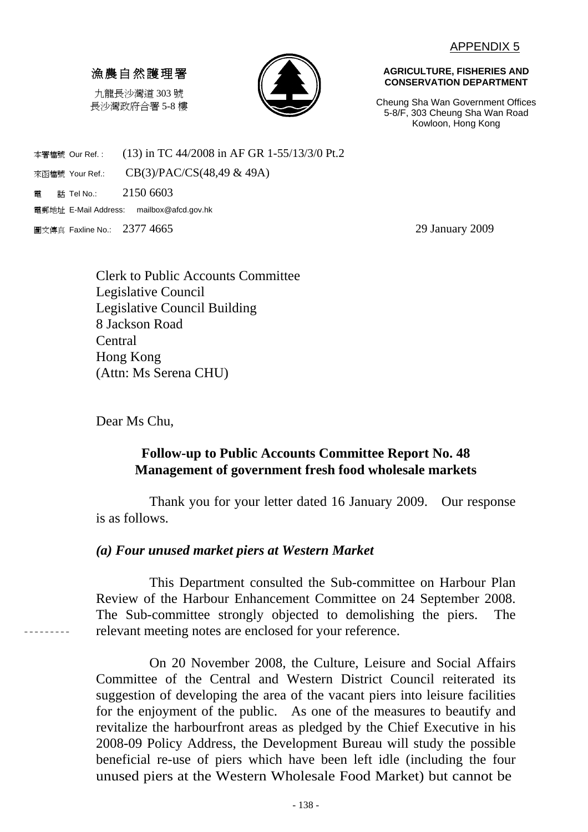### 漁農自然護理署

九龍長沙灣道 303 號 長沙灣政府合署 5-8 樓



**AGRICULTURE, FISHERIES AND CONSERVATION DEPARTMENT** 

Cheung Sha Wan Government Offices 5-8/F, 303 Cheung Sha Wan Road Kowloon, Hong Kong

本署檔號 Our Ref.: (13) in TC 44/2008 in AF GR 1-55/13/3/0 Pt.2 來函檔號 Your Ref.: CB(3)/PAC/CS(48,49 & 49A) 電 話 Tel No.: 2150 6603

電郵地址 E-Mail Address: mailbox@afcd.gov.hk

圖文傳真 Faxline No.: 2377 4665 29 January 2009

Clerk to Public Accounts Committee Legislative Council Legislative Council Building 8 Jackson Road **Central** Hong Kong (Attn: Ms Serena CHU)

Dear Ms Chu,

 $- - - - - - - -$ 

# **Follow-up to Public Accounts Committee Report No. 48 Management of government fresh food wholesale markets**

Thank you for your letter dated 16 January 2009. Our response is as follows.

## *(a) Four unused market piers at Western Market*

This Department consulted the Sub-committee on Harbour Plan Review of the Harbour Enhancement Committee on 24 September 2008. The Sub-committee strongly objected to demolishing the piers. The relevant meeting notes are enclosed for your reference.

On 20 November 2008, the Culture, Leisure and Social Affairs Committee of the Central and Western District Council reiterated its suggestion of developing the area of the vacant piers into leisure facilities for the enjoyment of the public. As one of the measures to beautify and revitalize the harbourfront areas as pledged by the Chief Executive in his 2008-09 Policy Address, the Development Bureau will study the possible beneficial re-use of piers which have been left idle (including the four unused piers at the Western Wholesale Food Market) but cannot be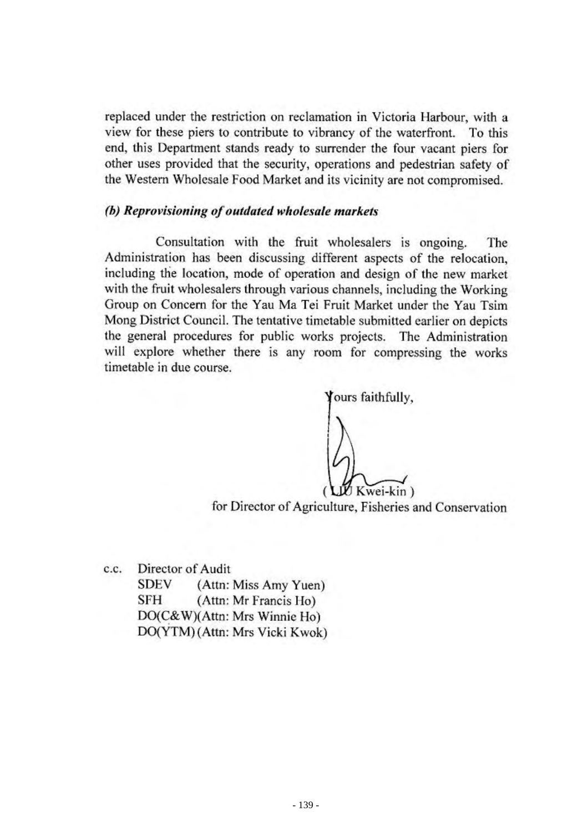replaced under the restriction on reclamation in Victoria Harbour, with a view for these piers to contribute to vibrancy of the waterfront. To this end, this Department stands ready to surrender the four vacant piers for other uses provided that the security, operations and pedestrian safety of the Western Wholesale Food Market and its vicinity are not compromised.

### (b) Reprovisioning of outdated wholesale markets

Consultation with the fruit wholesalers is ongoing. The Administration has been discussing different aspects of the relocation, including the location, mode of operation and design of the new market with the fruit wholesalers through various channels, including the Working Group on Concern for the Yau Ma Tei Fruit Market under the Yau Tsim Mong District Council. The tentative timetable submitted earlier on depicts the general procedures for public works projects. The Administration will explore whether there is any room for compressing the works timetable in due course.

ours faithfully, Kwei-kin)

for Director of Agriculture, Fisheries and Conservation

Director of Audit c.c. (Attn: Miss Amy Yuen) **SDEV SFH** (Attn: Mr Francis Ho) DO(C&W)(Attn: Mrs Winnie Ho) DO(YTM) (Attn: Mrs Vicki Kwok)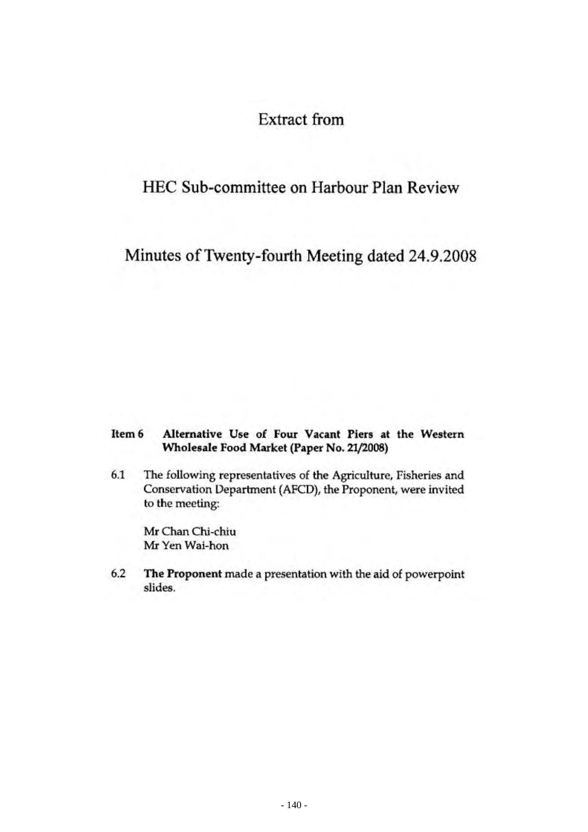# **Extract from**

# HEC Sub-committee on Harbour Plan Review

Minutes of Twenty-fourth Meeting dated 24.9.2008

#### Alternative Use of Four Vacant Piers at the Western Item 6 Wholesale Food Market (Paper No. 21/2008)

 $6.1$ The following representatives of the Agriculture, Fisheries and Conservation Department (AFCD), the Proponent, were invited to the meeting:

Mr Chan Chi-chiu Mr Yen Wai-hon

6.2 The Proponent made a presentation with the aid of powerpoint slides.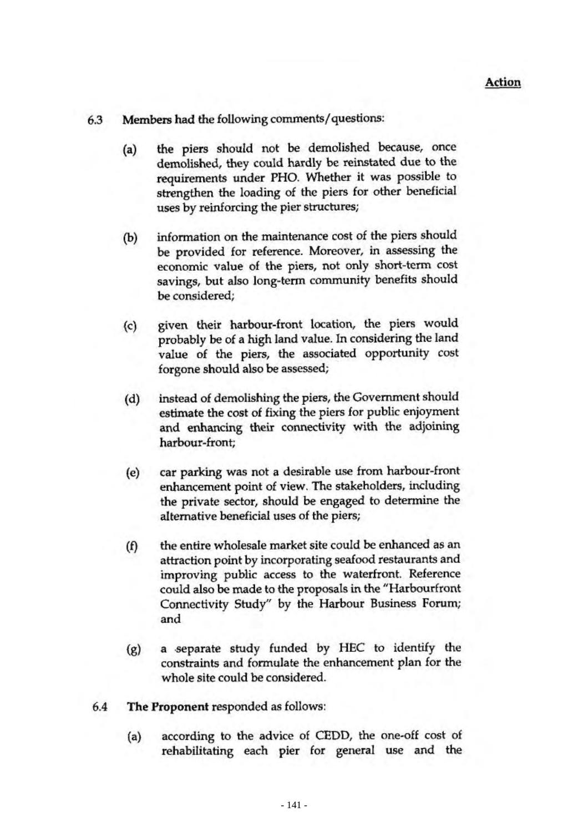- Members had the following comments/questions: 6.3
	- the piers should not be demolished because, once  $(a)$ demolished, they could hardly be reinstated due to the requirements under PHO. Whether it was possible to strengthen the loading of the piers for other beneficial uses by reinforcing the pier structures;
	- information on the maintenance cost of the piers should  $(b)$ be provided for reference. Moreover, in assessing the economic value of the piers, not only short-term cost savings, but also long-term community benefits should be considered;
	- given their harbour-front location, the piers would  $(c)$ probably be of a high land value. In considering the land value of the piers, the associated opportunity cost forgone should also be assessed;
	- instead of demolishing the piers, the Government should  $(d)$ estimate the cost of fixing the piers for public enjoyment and enhancing their connectivity with the adjoining harbour-front;
	- $(e)$ car parking was not a desirable use from harbour-front enhancement point of view. The stakeholders, including the private sector, should be engaged to determine the alternative beneficial uses of the piers;
	- the entire wholesale market site could be enhanced as an  $(f)$ attraction point by incorporating seafood restaurants and improving public access to the waterfront. Reference could also be made to the proposals in the "Harbourfront Connectivity Study" by the Harbour Business Forum; and
	- a separate study funded by HEC to identify the  $(g)$ constraints and formulate the enhancement plan for the whole site could be considered.
- 6.4 The Proponent responded as follows:
	- $(a)$ according to the advice of CEDD, the one-off cost of rehabilitating each pier for general use and the